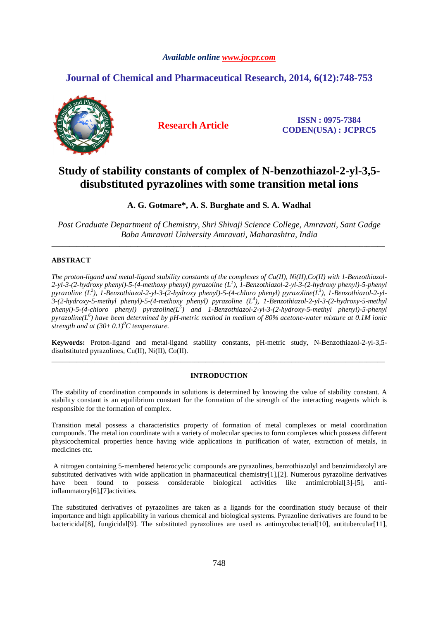### *Available online www.jocpr.com*

# **Journal of Chemical and Pharmaceutical Research, 2014, 6(12):748-753**



**Research Article ISSN : 0975-7384 CODEN(USA) : JCPRC5**

# **Study of stability constants of complex of N-benzothiazol-2-yl-3,5 disubstituted pyrazolines with some transition metal ions**

## **A. G. Gotmare\*, A. S. Burghate and S. A. Wadhal**

*Post Graduate Department of Chemistry, Shri Shivaji Science College, Amravati, Sant Gadge Baba Amravati University Amravati, Maharashtra, India*  \_\_\_\_\_\_\_\_\_\_\_\_\_\_\_\_\_\_\_\_\_\_\_\_\_\_\_\_\_\_\_\_\_\_\_\_\_\_\_\_\_\_\_\_\_\_\_\_\_\_\_\_\_\_\_\_\_\_\_\_\_\_\_\_\_\_\_\_\_\_\_\_\_\_\_\_\_\_\_\_\_\_\_\_\_\_\_\_\_\_\_\_\_

### **ABSTRACT**

*The proton-ligand and metal-ligand stability constants of the complexes of Cu(II), Ni(II),Co(II) with 1-Benzothiazol-2-yl-3-(2-hydroxy phenyl)-5-(4-methoxy phenyl) pyrazoline (L<sup>1</sup> ), 1-Benzothiazol-2-yl-3-(2-hydroxy phenyl)-5-phenyl pyrazoline (L<sup>2</sup> ), 1-Benzothiazol-2-yl-3-(2-hydroxy phenyl)-5-(4-chloro phenyl) pyrazoline(L<sup>3</sup> ), 1-Benzothiazol-2-yl-3-(2-hydroxy-5-methyl phenyl)-5-(4-methoxy phenyl) pyrazoline (L<sup>4</sup> ), 1-Benzothiazol-2-yl-3-(2-hydroxy-5-methyl phenyl)-5-(4-chloro phenyl) pyrazoline(L<sup>5</sup> ) and 1-Benzothiazol-2-yl-3-(2-hydroxy-5-methyl phenyl)-5-phenyl pyrazoline(L<sup>6</sup> ) have been determined by pH-metric method in medium of 80% acetone-water mixture at 0.1M ionic strength and at*  $(30 \pm 0.1)^{0}$ *C temperature.* 

**Keywords:** Proton-ligand and metal-ligand stability constants, pH-metric study, N-Benzothiazol-2-yl-3,5 disubstituted pyrazolines, Cu(II), Ni(II), Co(II). \_\_\_\_\_\_\_\_\_\_\_\_\_\_\_\_\_\_\_\_\_\_\_\_\_\_\_\_\_\_\_\_\_\_\_\_\_\_\_\_\_\_\_\_\_\_\_\_\_\_\_\_\_\_\_\_\_\_\_\_\_\_\_\_\_\_\_\_\_\_\_\_\_\_\_\_\_\_\_\_\_\_\_\_\_\_\_\_\_\_\_\_\_

### **INTRODUCTION**

The stability of coordination compounds in solutions is determined by knowing the value of stability constant. A stability constant is an equilibrium constant for the formation of the strength of the interacting reagents which is responsible for the formation of complex.

Transition metal possess a characteristics property of formation of metal complexes or metal coordination compounds. The metal ion coordinate with a variety of molecular species to form complexes which possess different physicochemical properties hence having wide applications in purification of water, extraction of metals, in medicines etc.

 A nitrogen containing 5-membered heterocyclic compounds are pyrazolines, benzothiazolyl and benzimidazolyl are substituted derivatives with wide application in pharmaceutical chemistry[1],[2]. Numerous pyrazoline derivatives have been found to possess considerable biological activities like antimicrobial [3]-[5], antiinflammatory[6],[7]activities.

The substituted derivatives of pyrazolines are taken as a ligands for the coordination study because of their importance and high applicability in various chemical and biological systems. Pyrazoline derivatives are found to be bactericidal[8], fungicidal[9]. The substituted pyrazolines are used as antimycobacterial[10], antitubercular[11],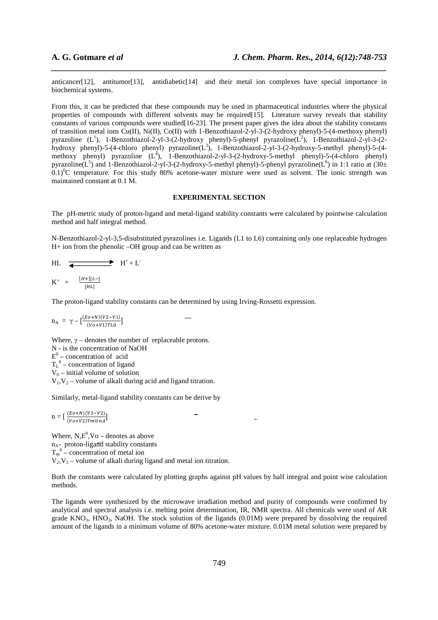anticancer[12], antitumor[13], antidiabetic[14] and their metal ion complexes have special importance in biochemical systems.

*\_\_\_\_\_\_\_\_\_\_\_\_\_\_\_\_\_\_\_\_\_\_\_\_\_\_\_\_\_\_\_\_\_\_\_\_\_\_\_\_\_\_\_\_\_\_\_\_\_\_\_\_\_\_\_\_\_\_\_\_\_\_\_\_\_\_\_\_\_\_\_\_\_\_\_\_\_\_*

From this, it can be predicted that these compounds may be used in pharmaceutical industries where the physical properties of compounds with different solvents may be required[15]. Literature survey reveals that stability constants of various compounds were studied [16-23]. The present paper gives the idea about the stability constants of transition metal ions Cu(II), Ni(II), Co(II) with 1-Benzothiazol-2-yl-3-(2-hydroxy phenyl)-5-(4-methoxy phenyl) pyrazoline (L<sup>1</sup>), 1-Benzothiazol-2-yl-3-(2-hydroxy phenyl)-5-phenyl pyrazoline(L<sup>2</sup>), 1-Benzothiazol-2-yl-3-(2hydroxy phenyl)-5-(4-chloro phenyl) pyrazoline $(L^3)$ , 1-Benzothiazol-2-yl-3-(2-hydroxy-5-methyl phenyl)-5-(4methoxy phenyl) pyrazoline  $(L^4)$ , 1-Benzothiazol-2-yl-3-(2-hydroxy-5-methyl phenyl)-5-(4-chloro phenyl) pyrazoline( $L^5$ ) and 1-Benzothiazol-2-yl-3-(2-hydroxy-5-methyl phenyl)-5-phenyl pyrazoline( $L^6$ ) in 1:1 ratio at (30±  $(0.1)^{0}$ C temperature. For this study 80% acetone-water mixture were used as solvent. The ionic strength was maintained constant at 0.1 M.

#### **EXPERIMENTAL SECTION**

The pH-metric study of proton-ligand and metal-ligand stability constants were calculated by pointwise calculation method and half integral method.

N-Benzothiazol-2-yl-3,5-disubstituted pyrazolines i.e. Ligands (L1 to L6) containing only one replaceable hydrogen H+ ion from the phenolic –OH group and can be written as

HL 
$$
\longrightarrow
$$
 H<sup>+</sup>+L<sup>-</sup>  
K' =  $\frac{[H+][L-]}{[HL]}$ 

The proton-ligand stability constants can be determined by using Irving-Rossetti expression.

$$
n_A = \gamma - \left[\frac{(Eo+N)(V2-V1)}{(Vo+V1)TL0}\right]
$$

Where,  $\gamma$  – denotes the number of replaceable protons. N - is the concentration of NaOH  $E^0$  – concentration of acid  $T_L^0$  – concentration of ligand  $V_0$  – initial volume of solution  $V_1, V_2$  – volume of alkali during acid and ligand titration.

Similarly, metal-ligand stability constants can be derive by

$$
n = \left[\frac{(Eo+N)(V3-V2)}{(Vo+V2)Tm0 nA}\right]
$$

Where,  $N$ , $E^0$ , $V$ o – denotes as above  $n_A$ - proton-ligand stability constants  $T_m^0$  – concentration of metal ion  $V_2$ ,  $V_3$  – volume of alkali during ligand and metal ion titration.

Both the constants were calculated by plotting graphs against pH values by half integral and point wise calculation methods.

÷

The ligands were synthesized by the microwave irradiation method and purity of compounds were confirmed by analytical and spectral analysis i.e. melting point determination, IR, NMR spectra. All chemicals were used of AR grade  $KNO_3$ ,  $HNO_3$ , NaOH. The stock solution of the ligands (0.01M) were prepared by dissolving the required amount of the ligands in a minimum volume of 80% acetone-water mixture. 0.01M metal solution were prepared by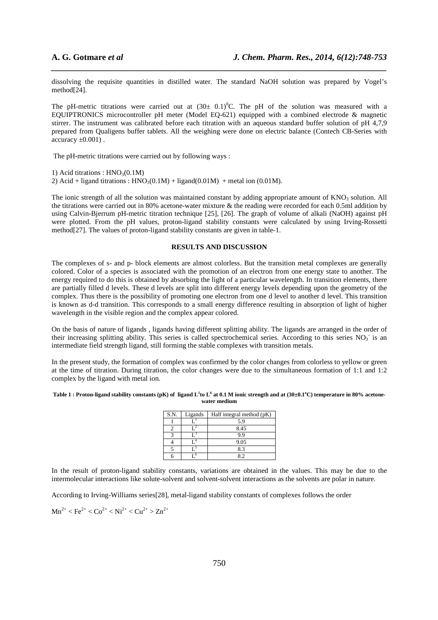dissolving the requisite quantities in distilled water. The standard NaOH solution was prepared by Vogel's method[24].

*\_\_\_\_\_\_\_\_\_\_\_\_\_\_\_\_\_\_\_\_\_\_\_\_\_\_\_\_\_\_\_\_\_\_\_\_\_\_\_\_\_\_\_\_\_\_\_\_\_\_\_\_\_\_\_\_\_\_\_\_\_\_\_\_\_\_\_\_\_\_\_\_\_\_\_\_\_\_*

The pH-metric titrations were carried out at  $(30\pm 0.1)^{0}C$ . The pH of the solution was measured with a EQUIPTRONICS microcontroller pH meter (Model EQ-621) equipped with a combined electrode & magnetic stirrer. The instrument was calibrated before each titration with an aqueous standard buffer solution of pH 4,7,9 prepared from Qualigens buffer tablets. All the weighing were done on electric balance (Contech CB-Series with accuracy  $\pm 0.001$ ).

The pH-metric titrations were carried out by following ways :

1) Acid titrations :  $HNO<sub>3</sub>(0.1M)$ 

2) Acid + ligand titrations :  $HNO<sub>3</sub>(0.1M) + ligand(0.01M) + metal ion (0.01M)$ .

The ionic strength of all the solution was maintained constant by adding appropriate amount of  $KNO<sub>3</sub>$  solution. All the titrations were carried out in 80% acetone-water mixture & the reading were recorded for each 0.5ml addition by using Calvin-Bjerrum pH-metric titration technique [25], [26]. The graph of volume of alkali (NaOH) against pH were plotted. From the pH values, proton-ligand stability constants were calculated by using Irving-Rossetti method<sup>[27]</sup>. The values of proton-ligand stability constants are given in table-1.

### **RESULTS AND DISCUSSION**

The complexes of s- and p- block elements are almost colorless. But the transition metal complexes are generally colored. Color of a species is associated with the promotion of an electron from one energy state to another. The energy required to do this is obtained by absorbing the light of a particular wavelength. In transition elements, there are partially filled d levels. These d levels are split into different energy levels depending upon the geometry of the complex. Thus there is the possibility of promoting one electron from one d level to another d level. This transition is known as d-d transition. This corresponds to a small energy difference resulting in absorption of light of higher wavelength in the visible region and the complex appear colored.

On the basis of nature of ligands , ligands having different splitting ability. The ligands are arranged in the order of their increasing splitting ability. This series is called spectrochemical series. According to this series NO<sub>3</sub> is an intermediate field strength ligand, still forming the stable complexes with transition metals.

In the present study, the formation of complex was confirmed by the color changes from colorless to yellow or green at the time of titration. During titration, the color changes were due to the simultaneous formation of 1:1 and 1:2 complex by the ligand with metal ion.

#### **Table 1 : Proton-ligand stability constants (pK) of ligand L<sup>1</sup> to L<sup>6</sup> at 0.1 M ionic strength and at (30±0.1<sup>o</sup>C) temperature in 80% acetonewater medium**

| S.N. | Ligands | Half integral method (pK) |
|------|---------|---------------------------|
|      |         | 5.9                       |
|      |         | 8.45                      |
|      |         | g g                       |
|      |         | 9.05                      |
|      |         | 8.3                       |
|      |         |                           |

In the result of proton-ligand stability constants, variations are obtained in the values. This may be due to the intermolecular interactions like solute-solvent and solvent-solvent interactions as the solvents are polar in nature.

According to Irving-Williams series[28], metal-ligand stability constants of complexes follows the order

$$
Mn^{2+} < Fe^{2+} < Co^{2+} < Ni^{2+} < Cu^{2+} > Zn^{2+}
$$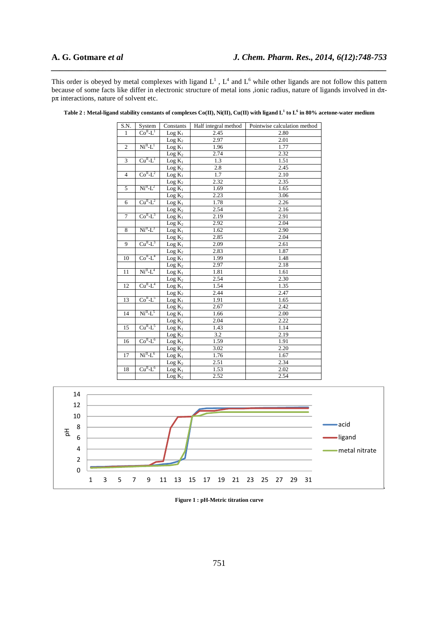This order is obeyed by metal complexes with ligand  $L^1$ ,  $L^4$  and  $L^6$  while other ligands are not follow this pattern because of some facts like differ in electronic structure of metal ions ,ionic radius, nature of ligands involved in dπ $p\pi$  interactions, nature of solvent etc.

*\_\_\_\_\_\_\_\_\_\_\_\_\_\_\_\_\_\_\_\_\_\_\_\_\_\_\_\_\_\_\_\_\_\_\_\_\_\_\_\_\_\_\_\_\_\_\_\_\_\_\_\_\_\_\_\_\_\_\_\_\_\_\_\_\_\_\_\_\_\_\_\_\_\_\_\_\_\_*

| S.N.           | System                | Constants                   | Half integral method | Pointwise calculation method |
|----------------|-----------------------|-----------------------------|----------------------|------------------------------|
| $\mathbf{1}$   | $CoH-L1$              | $Log K_1$                   | 2.45                 | 2.80                         |
|                |                       | Log K <sub>2</sub>          | 2.97                 | 2.01                         |
| $\overline{2}$ | $NiII-L1$             | $Log K_1$                   | 1.96                 | 1.77                         |
|                |                       | $Log K_2$                   | 2.74                 | 2.32                         |
| 3              | $CuII-L1$             | $Log K_1$                   | 1.3                  | 1.51                         |
|                |                       | $Log K_2$                   | 2.8                  | 2.45                         |
| $\overline{4}$ | $CoH-L2$              | $Log K_1$                   | 1.7                  | 2.10                         |
|                |                       | Log K <sub>2</sub>          | 2.32                 | 2.35                         |
| 5              | $NiII-L2$             | $Log K_1$                   | 1.69                 | 1.65                         |
|                |                       | Log K <sub>2</sub>          | 2.23                 | 3.06                         |
| 6              | $CuII-L2$             | $Log K_1$                   | 1.78                 | 2.26                         |
|                |                       | Log K <sub>2</sub>          | 2.54                 | 2.16                         |
| $\overline{7}$ | $CoH-L3$              | $Log K_1$                   | 2.19                 | 2.91                         |
|                |                       | Log K <sub>2</sub>          | 2.92                 | 2.04                         |
| 8              | $NiII-L3$             | $Log K_1$                   | 1.62                 | 2.90                         |
|                |                       | Log K <sub>2</sub>          | 2.85                 | 2.04                         |
| 9              | $CuII-L3$             | $Log K_1$                   | 2.09                 | 2.61                         |
|                |                       | Log K <sub>2</sub>          | 2.83                 | 1.87                         |
| 10             | $CoII-L4$             | $Log K_1$                   | 1.99                 | 1.48                         |
|                |                       | Log K <sub>2</sub>          | 2.97                 | 2.18                         |
| 11             | $NiII-L4$             | $Log K_1$                   | 1.81                 | 1.61                         |
|                |                       | Log K <sub>2</sub>          | 2.54                 | 2.30                         |
| 12             | $CuII-L4$             | $Log K_1$                   | 1.54                 | 1.35                         |
|                |                       | Log K <sub>2</sub>          | 2.44                 | 2.47                         |
| 13             | $CoII-L5$             | $Log K_1$                   | 1.91                 | 1.65                         |
|                |                       | $Log K_2$                   | 2.67                 | 2.42                         |
| 14             | $NiII-L5$             | $Log K_1$                   | 1.66                 | 2.00                         |
|                |                       | Log K <sub>2</sub>          | 2.04                 | 2.22                         |
| 15             | $CuII-L5$             | $Log K_1$                   | 1.43                 | 1.14                         |
|                |                       | Log K <sub>2</sub>          | 3.2                  | 2.19                         |
| 16             | $CoII-L6$             | $Log K_1$                   | 1.59                 | 1.91                         |
|                |                       | Log K <sub>2</sub>          | 3.02                 | 2.20                         |
| 17             | $NiII-1$ <sup>6</sup> | $Log K_1$                   | 1.76                 | 1.67                         |
|                |                       | Log K <sub>2</sub>          | 2.51                 | 2.34                         |
| 18             | $CuII-L6$             | $Log K_1$                   | 1.53                 | 2.02                         |
|                |                       | $\overline{\text{Log}} K_2$ | 2.52                 | 2.54                         |

**Table 2 : Metal-ligand stability constants of complexes Co(II), Ni(II), Cu(II) with ligand L<sup>1</sup> to L<sup>6</sup> in 80% acetone-water medium** 



**Figure 1 : pH-Metric titration curve**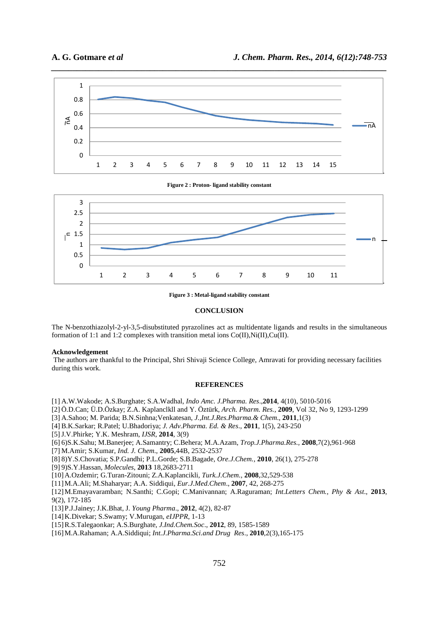

**Figure 2 : Proton- ligand stability constant** 



**Figure 3 : Metal-ligand stability constant** 

#### **CONCLUSION**

The N-benzothiazolyl-2-yl-3,5-disubstituted pyrazolines act as multidentate ligands and results in the simultaneous formation of 1:1 and 1:2 complexes with transition metal ions Co(II),Ni(II),Cu(II).

#### **Acknowledgement**

 The authors are thankful to the Principal, Shri Shivaji Science College, Amravati for providing necessary facilities during this work.

#### **REFERENCES**

[1] A.W.Wakode; A.S.Burghate; S.A.Wadhal, *Indo Amc. J.Pharma. Res*.,**2014**, 4(10), 5010-5016

- [2] Ö.D.Can; Ü.D.Özkay; Z.A. Kaplanclkll and Y. Öztürk, *Arch. Pharm. Res.,* **2009**, Vol 32, No 9, 1293-1299
- [3] A.Sahoo; M. Parida; B.N.Sinhna;Venkatesan, *J.,Int.J.Res.Pharma.& Chem*., **2011**,1(3)
- [4] B.K.Sarkar; R.Patel; U.Bhadoriya; *J. Adv.Pharma. Ed. & Res*., **2011**, 1(5), 243-250

[5]J.V.Phirke; Y.K. Meshram, *IJSR*, **2014**, 3(9)

[6] 6)S.K.Sahu; M.Banerjee; A.Samantry; C.Behera; M.A.Azam, *Trop.J.Pharma.Res.,* **2008**,7(2),961-968

- [7] M.Amir; S.Kumar, *Ind. J. Chem*., **2005**,44B, 2532-2537
- [8] 8)Y.S.Chovatia; S.P.Gandhi; P.L.Gorde; S.B.Bagade, *Ore.J.Chem.,* **2010**, 26(1), 275-278

[9] 9)S.Y.Hassan, *Molecules*, **2013** 18,2683-2711

[10]A.Ozdemir; G.Turan-Zitouni; Z.A.Kaplancikli*, Turk.J.Chem.,* **2008**,32,529-538

[11]M.A.Ali; M.Shaharyar; A.A. Siddiqui, *Eur.J.Med.Chem*., **2007**, 42, 268-275

[12]M.Emayavaramban; N.Santhi; C.Gopi; C.Manivannan; A.Raguraman; *Int.Letters Chem., Phy & Ast*., **2013**, 9(2), 172-185

[13]P.J.Jainey; J.K.Bhat, J*. Young Pharma*., **2012**, 4(2), 82-87

[14]K.Divekar; S.Swamy; V.Murugan, *eIJPPR*, 1-13

[15]R.S.Talegaonkar; A.S.Burghate, *J.Ind.Chem.Soc*., **2012**, 89, 1585-1589

[16]M.A.Rahaman; A.A.Siddiqui; *Int.J.Pharma.Sci.and Drug Res*., **2010**,2(3),165-175